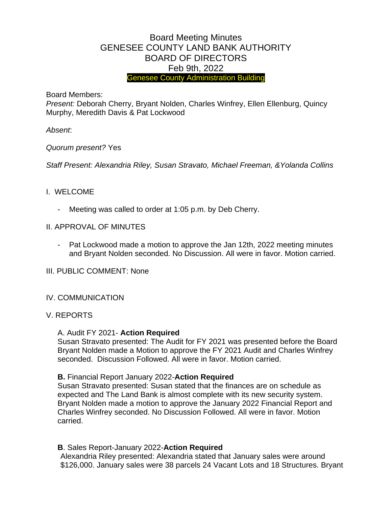# Board Meeting Minutes GENESEE COUNTY LAND BANK AUTHORITY BOARD OF DIRECTORS Feb 9th, 2022 Genesee County Administration Building

Board Members:

*Present:* Deborah Cherry, Bryant Nolden, Charles Winfrey, Ellen Ellenburg, Quincy Murphy, Meredith Davis & Pat Lockwood

*Absent*:

## *Quorum present?* Yes

*Staff Present: Alexandria Riley, Susan Stravato, Michael Freeman, &Yolanda Collins*

## I. WELCOME

- Meeting was called to order at 1:05 p.m. by Deb Cherry.
- II. APPROVAL OF MINUTES
	- Pat Lockwood made a motion to approve the Jan 12th, 2022 meeting minutes and Bryant Nolden seconded. No Discussion. All were in favor. Motion carried.

III. PUBLIC COMMENT: None

## IV. COMMUNICATION

## V. REPORTS

## A. Audit FY 2021- **Action Required**

Susan Stravato presented: The Audit for FY 2021 was presented before the Board Bryant Nolden made a Motion to approve the FY 2021 Audit and Charles Winfrey seconded. Discussion Followed. All were in favor. Motion carried.

## **B.** Financial Report January 2022-**Action Required**

Susan Stravato presented: Susan stated that the finances are on schedule as expected and The Land Bank is almost complete with its new security system. Bryant Nolden made a motion to approve the January 2022 Financial Report and Charles Winfrey seconded. No Discussion Followed. All were in favor. Motion carried.

**B**. Sales Report-January 2022-**Action Required**

Alexandria Riley presented: Alexandria stated that January sales were around \$126,000. January sales were 38 parcels 24 Vacant Lots and 18 Structures. Bryant